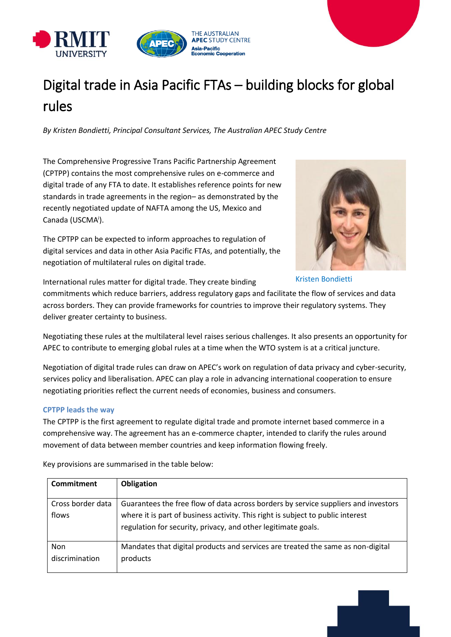

# Digital trade in Asia Pacific FTAs – building blocks for global rules

*By Kristen Bondietti, Principal Consultant Services, The Australian APEC Study Centre*

The Comprehensive Progressive Trans Pacific Partnership Agreement (CPTPP) contains the most comprehensive rules on e-commerce and digital trade of any FTA to date. It establishes reference points for new standards in trade agreements in the region– as demonstrated by the recently negotiated update of NAFTA among the US, Mexico and Canada (USCMA<sup>i</sup>).

The CPTPP can be expected to inform approaches to regulation of digital services and data in other Asia Pacific FTAs, and potentially, the negotiation of multilateral rules on digital trade.



Kristen Bondietti

International rules matter for digital trade. They create binding

commitments which reduce barriers, address regulatory gaps and facilitate the flow of services and data across borders. They can provide frameworks for countries to improve their regulatory systems. They deliver greater certainty to business.

Negotiating these rules at the multilateral level raises serious challenges. It also presents an opportunity for APEC to contribute to emerging global rules at a time when the WTO system is at a critical juncture.

Negotiation of digital trade rules can draw on APEC's work on regulation of data privacy and cyber-security, services policy and liberalisation. APEC can play a role in advancing international cooperation to ensure negotiating priorities reflect the current needs of economies, business and consumers.

## **CPTPP leads the way**

The CPTPP is the first agreement to regulate digital trade and promote internet based commerce in a comprehensive way. The agreement has an e-commerce chapter, intended to clarify the rules around movement of data between member countries and keep information flowing freely.

Key provisions are summarised in the table below:

| Commitment                 | Obligation                                                                                                                                                                                                                             |
|----------------------------|----------------------------------------------------------------------------------------------------------------------------------------------------------------------------------------------------------------------------------------|
| Cross border data<br>flows | Guarantees the free flow of data across borders by service suppliers and investors<br>where it is part of business activity. This right is subject to public interest<br>regulation for security, privacy, and other legitimate goals. |
| Non<br>discrimination      | Mandates that digital products and services are treated the same as non-digital<br>products                                                                                                                                            |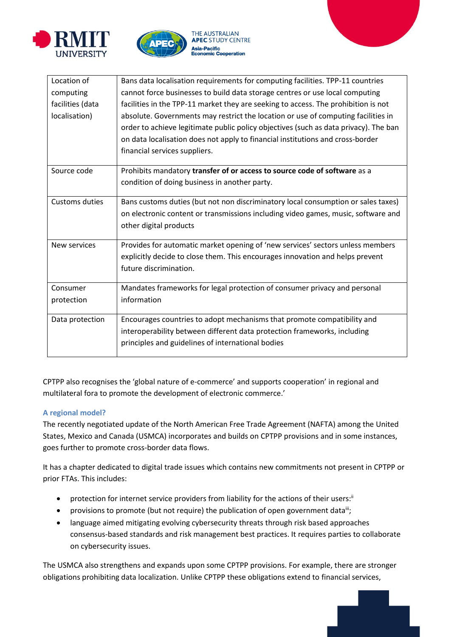





| Location of           | Bans data localisation requirements for computing facilities. TPP-11 countries       |
|-----------------------|--------------------------------------------------------------------------------------|
| computing             | cannot force businesses to build data storage centres or use local computing         |
| facilities (data      | facilities in the TPP-11 market they are seeking to access. The prohibition is not   |
| localisation)         | absolute. Governments may restrict the location or use of computing facilities in    |
|                       | order to achieve legitimate public policy objectives (such as data privacy). The ban |
|                       | on data localisation does not apply to financial institutions and cross-border       |
|                       | financial services suppliers.                                                        |
| Source code           | Prohibits mandatory transfer of or access to source code of software as a            |
|                       | condition of doing business in another party.                                        |
| <b>Customs duties</b> | Bans customs duties (but not non discriminatory local consumption or sales taxes)    |
|                       | on electronic content or transmissions including video games, music, software and    |
|                       | other digital products                                                               |
| New services          | Provides for automatic market opening of 'new services' sectors unless members       |
|                       | explicitly decide to close them. This encourages innovation and helps prevent        |
|                       | future discrimination.                                                               |
| Consumer              | Mandates frameworks for legal protection of consumer privacy and personal            |
| protection            | information                                                                          |
|                       |                                                                                      |
| Data protection       | Encourages countries to adopt mechanisms that promote compatibility and              |
|                       | interoperability between different data protection frameworks, including             |
|                       | principles and guidelines of international bodies                                    |

CPTPP also recognises the 'global nature of e-commerce' and supports cooperation' in regional and multilateral fora to promote the development of electronic commerce.'

## **A regional model?**

The recently negotiated update of the North American Free Trade Agreement (NAFTA) among the United States, Mexico and Canada (USMCA) incorporates and builds on CPTPP provisions and in some instances, goes further to promote cross-border data flows.

It has a chapter dedicated to digital trade issues which contains new commitments not present in CPTPP or prior FTAs. This includes:

- protection for internet service providers from liability for the actions of their users: $\mathbb{I}$
- provisions to promote (but not require) the publication of open government data<sup>iii</sup>;
- language aimed mitigating evolving cybersecurity threats through risk based approaches consensus-based standards and risk management best practices. It requires parties to collaborate on cybersecurity issues.

The USMCA also strengthens and expands upon some CPTPP provisions. For example, there are stronger obligations prohibiting data localization. Unlike CPTPP these obligations extend to financial services,

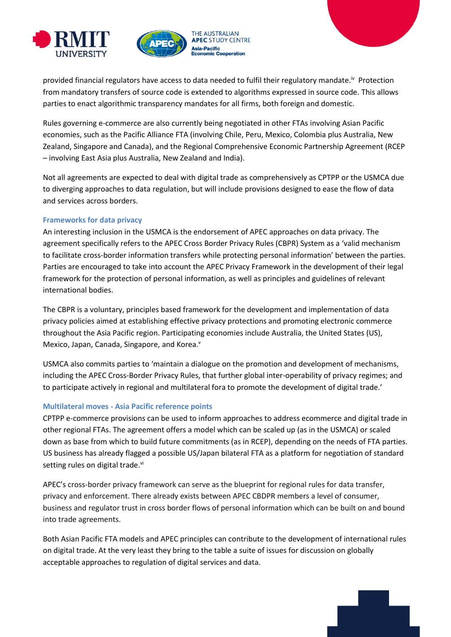



provided financial regulators have access to data needed to fulfil their regulatory mandate.<sup>iv</sup> Protection from mandatory transfers of source code is extended to algorithms expressed in source code. This allows parties to enact algorithmic transparency mandates for all firms, both foreign and domestic.

Rules governing e-commerce are also currently being negotiated in other FTAs involving Asian Pacific economies, such as the Pacific Alliance FTA (involving Chile, Peru, Mexico, Colombia plus Australia, New Zealand, Singapore and Canada), and the Regional Comprehensive Economic Partnership Agreement (RCEP – involving East Asia plus Australia, New Zealand and India).

Not all agreements are expected to deal with digital trade as comprehensively as CPTPP or the USMCA due to diverging approaches to data regulation, but will include provisions designed to ease the flow of data and services across borders.

## **Frameworks for data privacy**

An interesting inclusion in the USMCA is the endorsement of APEC approaches on data privacy. The agreement specifically refers to the APEC Cross Border Privacy Rules (CBPR) System as a 'valid mechanism to facilitate cross-border information transfers while protecting personal information' between the parties. Parties are encouraged to take into account the APEC Privacy Framework in the development of their legal framework for the protection of personal information, as well as principles and guidelines of relevant international bodies.

The CBPR is a voluntary, principles based framework for the development and implementation of data privacy policies aimed at establishing effective privacy protections and promoting electronic commerce throughout the Asia Pacific region. Participating economies include Australia, the United States (US), Mexico, Japan, Canada, Singapore, and Korea.<sup>v</sup>

USMCA also commits parties to 'maintain a dialogue on the promotion and development of mechanisms, including the APEC Cross-Border Privacy Rules, that further global inter-operability of privacy regimes; and to participate actively in regional and multilateral fora to promote the development of digital trade.'

## **Multilateral moves - Asia Pacific reference points**

CPTPP e-commerce provisions can be used to inform approaches to address ecommerce and digital trade in other regional FTAs. The agreement offers a model which can be scaled up (as in the USMCA) or scaled down as base from which to build future commitments (as in RCEP), depending on the needs of FTA parties. US business has already flagged a possible US/Japan bilateral FTA as a platform for negotiation of standard setting rules on digital trade.vi

APEC's cross-border privacy framework can serve as the blueprint for regional rules for data transfer, privacy and enforcement. There already exists between APEC CBDPR members a level of consumer, business and regulator trust in cross border flows of personal information which can be built on and bound into trade agreements.

Both Asian Pacific FTA models and APEC principles can contribute to the development of international rules on digital trade. At the very least they bring to the table a suite of issues for discussion on globally acceptable approaches to regulation of digital services and data.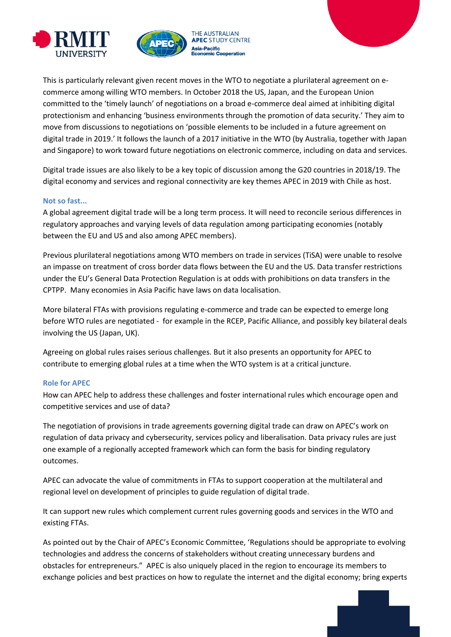



This is particularly relevant given recent moves in the WTO to negotiate a plurilateral agreement on ecommerce among willing WTO members. In October 2018 the US, Japan, and the European Union committed to the 'timely launch' of negotiations on a broad e-commerce deal aimed at inhibiting digital protectionism and enhancing 'business environments through the promotion of data security.' They aim to move from discussions to negotiations on 'possible elements to be included in a future agreement on digital trade in 2019.' It follows the launch of a 2017 initiative in the WTO (by Australia, together with Japan and Singapore) to work toward future negotiations on electronic commerce, including on data and services.

Digital trade issues are also likely to be a key topic of discussion among the G20 countries in 2018/19. The digital economy and services and regional connectivity are key themes APEC in 2019 with Chile as host.

#### **Not so fast...**

A global agreement digital trade will be a long term process. It will need to reconcile serious differences in regulatory approaches and varying levels of data regulation among participating economies (notably between the EU and US and also among APEC members).

Previous plurilateral negotiations among WTO members on trade in services (TiSA) were unable to resolve an impasse on treatment of cross border data flows between the EU and the US. Data transfer restrictions under the EU's General Data Protection Regulation is at odds with prohibitions on data transfers in the CPTPP. Many economies in Asia Pacific have laws on data localisation.

More bilateral FTAs with provisions regulating e-commerce and trade can be expected to emerge long before WTO rules are negotiated - for example in the RCEP, Pacific Alliance, and possibly key bilateral deals involving the US (Japan, UK).

Agreeing on global rules raises serious challenges. But it also presents an opportunity for APEC to contribute to emerging global rules at a time when the WTO system is at a critical juncture.

#### **Role for APEC**

How can APEC help to address these challenges and foster international rules which encourage open and competitive services and use of data?

The negotiation of provisions in trade agreements governing digital trade can draw on APEC's work on regulation of data privacy and cybersecurity, services policy and liberalisation. Data privacy rules are just one example of a regionally accepted framework which can form the basis for binding regulatory outcomes.

APEC can advocate the value of commitments in FTAs to support cooperation at the multilateral and regional level on development of principles to guide regulation of digital trade.

It can support new rules which complement current rules governing goods and services in the WTO and existing FTAs.

As pointed out by the Chair of APEC's Economic Committee, 'Regulations should be appropriate to evolving technologies and address the concerns of stakeholders without creating unnecessary burdens and obstacles for entrepreneurs." APEC is also uniquely placed in the region to encourage its members to exchange policies and best practices on how to regulate the internet and the digital economy; bring experts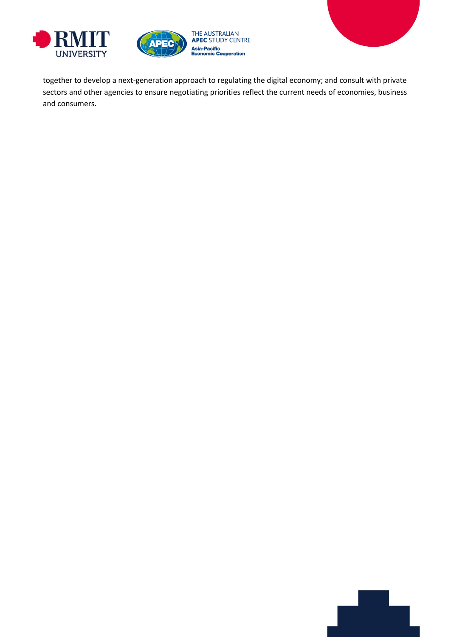



together to develop a next-generation approach to regulating the digital economy; and consult with private sectors and other agencies to ensure negotiating priorities reflect the current needs of economies, business and consumers.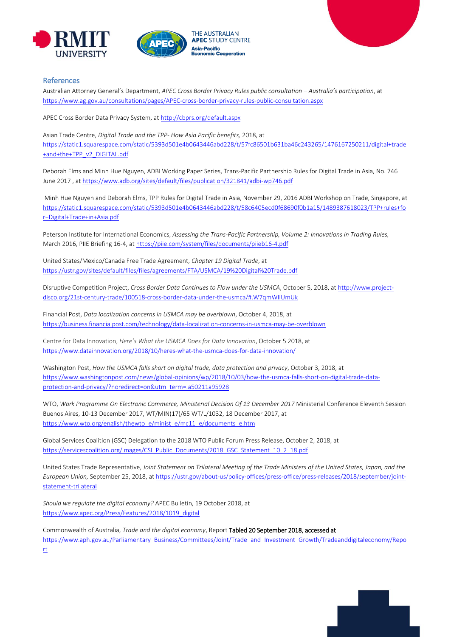





#### References

Australian Attorney General's Department, *APEC Cross Border Privacy Rules public consultation – Australia's participation*, at <https://www.ag.gov.au/consultations/pages/APEC-cross-border-privacy-rules-public-consultation.aspx>

APEC Cross Border Data Privacy System, a[t http://cbprs.org/default.aspx](http://cbprs.org/default.aspx)

Asian Trade Centre, *Digital Trade and the TPP- How Asia Pacific benefits,* 2018, at [https://static1.squarespace.com/static/5393d501e4b0643446abd228/t/57fc86501b631ba46c243265/1476167250211/digital+trade](https://static1.squarespace.com/static/5393d501e4b0643446abd228/t/57fc86501b631ba46c243265/1476167250211/digital+trade+and+the+TPP_v2_DIGITAL.pdf) [+and+the+TPP\\_v2\\_DIGITAL.pdf](https://static1.squarespace.com/static/5393d501e4b0643446abd228/t/57fc86501b631ba46c243265/1476167250211/digital+trade+and+the+TPP_v2_DIGITAL.pdf)

Deborah Elms and Minh Hue Nguyen, ADBI Working Paper Series, Trans-Pacific Partnership Rules for Digital Trade in Asia, No. 746 June 2017 , at<https://www.adb.org/sites/default/files/publication/321841/adbi-wp746.pdf>

Minh Hue Nguyen and Deborah Elms, TPP Rules for Digital Trade in Asia, November 29, 2016 ADBI Workshop on Trade, Singapore, at [https://static1.squarespace.com/static/5393d501e4b0643446abd228/t/58c6405ecd0f68690f0b1a15/1489387618023/TPP+rules+fo](https://static1.squarespace.com/static/5393d501e4b0643446abd228/t/58c6405ecd0f68690f0b1a15/1489387618023/TPP+rules+for+Digital+Trade+in+Asia.pdf) [r+Digital+Trade+in+Asia.pdf](https://static1.squarespace.com/static/5393d501e4b0643446abd228/t/58c6405ecd0f68690f0b1a15/1489387618023/TPP+rules+for+Digital+Trade+in+Asia.pdf)

Peterson Institute for International Economics, *Assessing the Trans-Pacific Partnership, Volume 2: Innovations in Trading Rules,* March 2016, PIIE Briefing 16-4, at<https://piie.com/system/files/documents/piieb16-4.pdf>

United States/Mexico/Canada Free Trade Agreement, *Chapter 19 Digital Trade*, at <https://ustr.gov/sites/default/files/files/agreements/FTA/USMCA/19%20Digital%20Trade.pdf>

Disruptive Competition Project, *Cross Border Data Continues to Flow under the USMCA*, October 5, 2018, a[t http://www.project](http://www.project-disco.org/21st-century-trade/100518-cross-border-data-under-the-usmca/#.W7qmWlIUmUk)[disco.org/21st-century-trade/100518-cross-border-data-under-the-usmca/#.W7qmWlIUmUk](http://www.project-disco.org/21st-century-trade/100518-cross-border-data-under-the-usmca/#.W7qmWlIUmUk)

Financial Post, *Data localization concerns in USMCA may be overblown*, October 4, 2018, at <https://business.financialpost.com/technology/data-localization-concerns-in-usmca-may-be-overblown>

Centre for Data Innovation, *Here's What the USMCA Does for Data Innovation*, October 5 2018, at <https://www.datainnovation.org/2018/10/heres-what-the-usmca-does-for-data-innovation/>

Washington Post, *How the USMCA falls short on digital trade, data protection and privacy*, October 3, 2018, at [https://www.washingtonpost.com/news/global-opinions/wp/2018/10/03/how-the-usmca-falls-short-on-digital-trade-data](https://www.washingtonpost.com/news/global-opinions/wp/2018/10/03/how-the-usmca-falls-short-on-digital-trade-data-protection-and-privacy/?noredirect=on&utm_term=.a50211a95928)[protection-and-privacy/?noredirect=on&utm\\_term=.a50211a95928](https://www.washingtonpost.com/news/global-opinions/wp/2018/10/03/how-the-usmca-falls-short-on-digital-trade-data-protection-and-privacy/?noredirect=on&utm_term=.a50211a95928)

WTO, *Work Programme On Electronic Commerce, Ministerial Decision Of 13 December 2017* Ministerial Conference Eleventh Session Buenos Aires, 10-13 December 2017, WT/MIN(17)/65 WT/L/1032, 18 December 2017, at [https://www.wto.org/english/thewto\\_e/minist\\_e/mc11\\_e/documents\\_e.htm](https://www.wto.org/english/thewto_e/minist_e/mc11_e/documents_e.htm)

Global Services Coalition (GSC) Delegation to the 2018 WTO Public Forum Press Release, October 2, 2018, at [https://servicescoalition.org/images/CSI\\_Public\\_Documents/2018\\_GSC\\_Statement\\_10\\_2\\_18.pdf](https://servicescoalition.org/images/CSI_Public_Documents/2018_GSC_Statement_10_2_18.pdf)

United States Trade Representative, *Joint Statement on Trilateral Meeting of the Trade Ministers of the United States, Japan, and the European Union,* September 25, 2018, at [https://ustr.gov/about-us/policy-offices/press-office/press-releases/2018/september/joint](https://ustr.gov/about-us/policy-offices/press-office/press-releases/2018/september/joint-statement-trilateral)[statement-trilateral](https://ustr.gov/about-us/policy-offices/press-office/press-releases/2018/september/joint-statement-trilateral)

*Should we regulate the digital economy?* APEC Bulletin, 19 October 2018, at [https://www.apec.org/Press/Features/2018/1019\\_digital](https://www.apec.org/Press/Features/2018/1019_digital)

Commonwealth of Australia, *Trade and the digital economy*, Report Tabled 20 September 2018, accessed at [https://www.aph.gov.au/Parliamentary\\_Business/Committees/Joint/Trade\\_and\\_Investment\\_Growth/Tradeanddigitaleconomy/Repo](https://www.aph.gov.au/Parliamentary_Business/Committees/Joint/Trade_and_Investment_Growth/Tradeanddigitaleconomy/Report) [rt](https://www.aph.gov.au/Parliamentary_Business/Committees/Joint/Trade_and_Investment_Growth/Tradeanddigitaleconomy/Report)